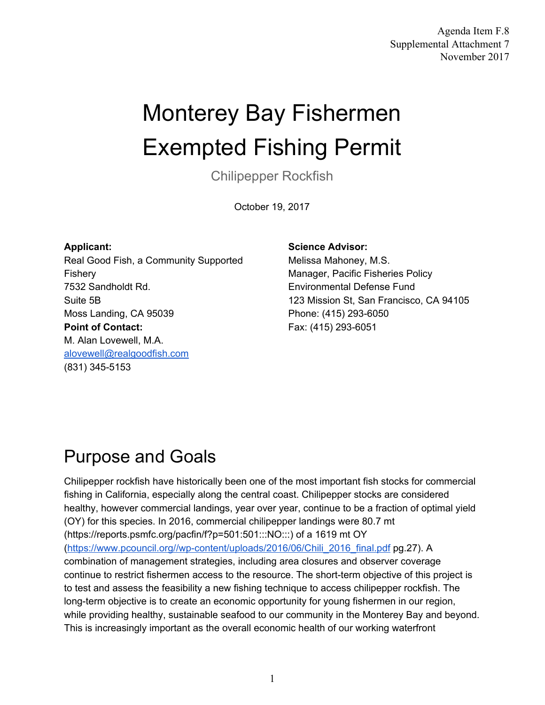Agenda Item F.8 Supplemental Attachment 7 November 2017

# Monterey Bay Fishermen Exempted Fishing Permit

Chilipepper Rockfish

October 19, 2017

#### **Applicant:**

Real Good Fish, a Community Supported Fishery 7532 Sandholdt Rd. Suite 5B Moss Landing, CA 95039 **Point of Contact:**  M. Alan Lovewell, M.A. [alovewell@realgoodfish.com](mailto:alovewell@realgoodfish.com) (831) 345-5153

#### **Science Advisor:**

Melissa Mahoney, M.S. Manager, Pacific Fisheries Policy Environmental Defense Fund 123 Mission St, San Francisco, CA 94105 Phone: (415) 293-6050 Fax: (415) 293-6051

#### Purpose and Goals

Chilipepper rockfish have historically been one of the most important fish stocks for commercial fishing in California, especially along the central coast. Chilipepper stocks are considered healthy, however commercial landings, year over year, continue to be a fraction of optimal yield (OY) for this species. In 2016, commercial chilipepper landings were 80.7 mt (https://reports.psmfc.org/pacfin/f?p=501:501:::NO:::) of a 1619 mt OY ([https://www.pcouncil.org//wp-content/uploads/2016/06/Chili\\_2016\\_final.pdf](https://www.pcouncil.org//wp-content/uploads/2016/06/Chili_2016_final.pdf) pg.27). A combination of management strategies, including area closures and observer coverage continue to restrict fishermen access to the resource. The short-term objective of this project is to test and assess the feasibility a new fishing technique to access chilipepper rockfish. The long-term objective is to create an economic opportunity for young fishermen in our region, while providing healthy, sustainable seafood to our community in the Monterey Bay and beyond. This is increasingly important as the overall economic health of our working waterfront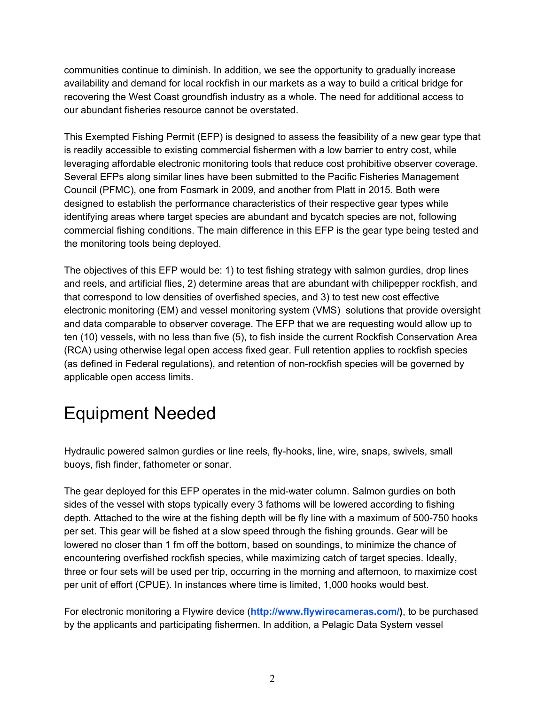communities continue to diminish. In addition, we see the opportunity to gradually increase availability and demand for local rockfish in our markets as a way to build a critical bridge for recovering the West Coast groundfish industry as a whole. The need for additional access to our abundant fisheries resource cannot be overstated.

This Exempted Fishing Permit (EFP) is designed to assess the feasibility of a new gear type that is readily accessible to existing commercial fishermen with a low barrier to entry cost, while leveraging affordable electronic monitoring tools that reduce cost prohibitive observer coverage. Several EFPs along similar lines have been submitted to the Pacific Fisheries Management Council (PFMC), one from Fosmark in 2009, and another from Platt in 2015. Both were designed to establish the performance characteristics of their respective gear types while identifying areas where target species are abundant and bycatch species are not, following commercial fishing conditions. The main difference in this EFP is the gear type being tested and the monitoring tools being deployed.

The objectives of this EFP would be: 1) to test fishing strategy with salmon gurdies, drop lines and reels, and artificial flies, 2) determine areas that are abundant with chilipepper rockfish, and that correspond to low densities of overfished species, and 3) to test new cost effective electronic monitoring (EM) and vessel monitoring system (VMS) solutions that provide oversight and data comparable to observer coverage. The EFP that we are requesting would allow up to ten (10) vessels, with no less than five (5), to fish inside the current Rockfish Conservation Area (RCA) using otherwise legal open access fixed gear. Full retention applies to rockfish species (as defined in Federal regulations), and retention of non-rockfish species will be governed by applicable open access limits.

# Equipment Needed

Hydraulic powered salmon gurdies or line reels, fly-hooks, line, wire, snaps, swivels, small buoys, fish finder, fathometer or sonar.

The gear deployed for this EFP operates in the mid-water column. Salmon gurdies on both sides of the vessel with stops typically every 3 fathoms will be lowered according to fishing depth. Attached to the wire at the fishing depth will be fly line with a maximum of 500-750 hooks per set. This gear will be fished at a slow speed through the fishing grounds. Gear will be lowered no closer than 1 fm off the bottom, based on soundings, to minimize the chance of encountering overfished rockfish species, while maximizing catch of target species. Ideally, three or four sets will be used per trip, occurring in the morning and afternoon, to maximize cost per unit of effort (CPUE). In instances where time is limited, 1,000 hooks would best.

For electronic monitoring a Flywire device (**<http://www.flywirecameras.com/>)**, to be purchased by the applicants and participating fishermen. In addition, a Pelagic Data System vessel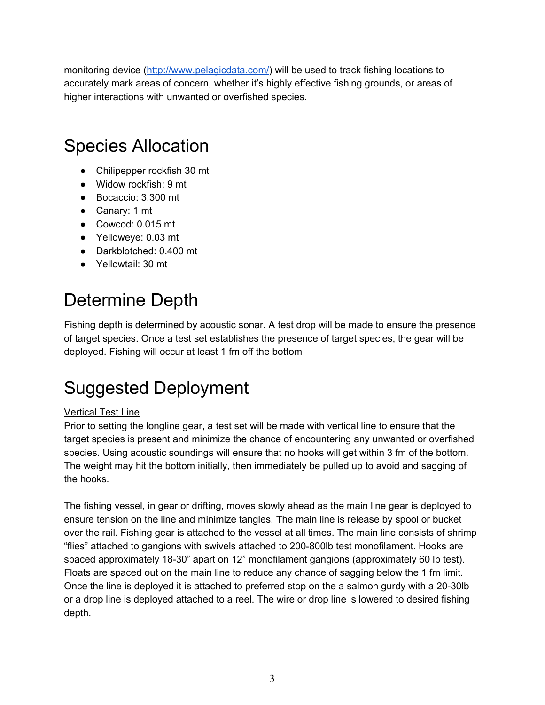monitoring device (<http://www.pelagicdata.com/>) will be used to track fishing locations to accurately mark areas of concern, whether it's highly effective fishing grounds, or areas of higher interactions with unwanted or overfished species.

### Species Allocation

- Chilipepper rockfish 30 mt
- Widow rockfish: 9 mt
- Bocaccio: 3.300 mt
- Canary: 1 mt
- Cowcod: 0.015 mt
- Yelloweye: 0.03 mt
- Darkblotched: 0.400 mt
- Yellowtail: 30 mt

# Determine Depth

Fishing depth is determined by acoustic sonar. A test drop will be made to ensure the presence of target species. Once a test set establishes the presence of target species, the gear will be deployed. Fishing will occur at least 1 fm off the bottom

### Suggested Deployment

#### Vertical Test Line

Prior to setting the longline gear, a test set will be made with vertical line to ensure that the target species is present and minimize the chance of encountering any unwanted or overfished species. Using acoustic soundings will ensure that no hooks will get within 3 fm of the bottom. The weight may hit the bottom initially, then immediately be pulled up to avoid and sagging of the hooks.

The fishing vessel, in gear or drifting, moves slowly ahead as the main line gear is deployed to ensure tension on the line and minimize tangles. The main line is release by spool or bucket over the rail. Fishing gear is attached to the vessel at all times. The main line consists of shrimp "flies" attached to gangions with swivels attached to 200-800lb test monofilament. Hooks are spaced approximately 18-30" apart on 12" monofilament gangions (approximately 60 lb test). Floats are spaced out on the main line to reduce any chance of sagging below the 1 fm limit. Once the line is deployed it is attached to preferred stop on the a salmon gurdy with a 20-30lb or a drop line is deployed attached to a reel. The wire or drop line is lowered to desired fishing depth.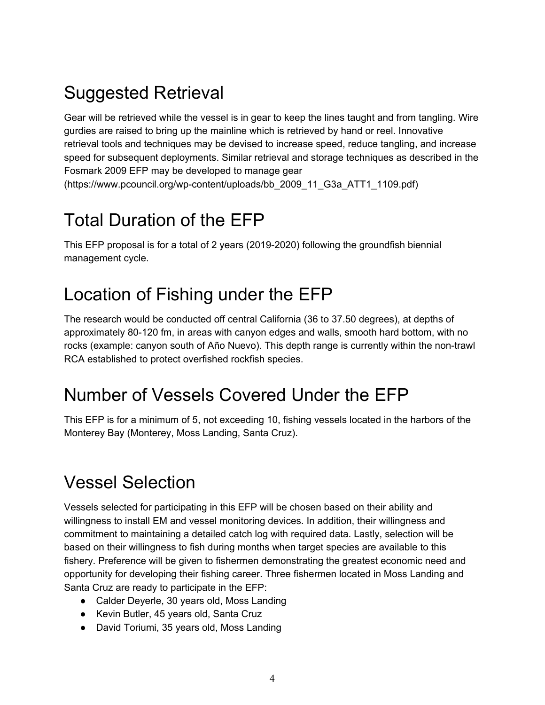# Suggested Retrieval

Gear will be retrieved while the vessel is in gear to keep the lines taught and from tangling. Wire gurdies are raised to bring up the mainline which is retrieved by hand or reel. Innovative retrieval tools and techniques may be devised to increase speed, reduce tangling, and increase speed for subsequent deployments. Similar retrieval and storage techniques as described in the Fosmark 2009 EFP may be developed to manage gear

(https://www.pcouncil.org/wp-content/uploads/bb\_2009\_11\_G3a\_ATT1\_1109.pdf)

### Total Duration of the EFP

This EFP proposal is for a total of 2 years (2019-2020) following the groundfish biennial management cycle.

### Location of Fishing under the EFP

The research would be conducted off central California (36 to 37.50 degrees), at depths of approximately 80-120 fm, in areas with canyon edges and walls, smooth hard bottom, with no rocks (example: canyon south of Año Nuevo). This depth range is currently within the non-trawl RCA established to protect overfished rockfish species.

#### Number of Vessels Covered Under the EFP

This EFP is for a minimum of 5, not exceeding 10, fishing vessels located in the harbors of the Monterey Bay (Monterey, Moss Landing, Santa Cruz).

### Vessel Selection

Vessels selected for participating in this EFP will be chosen based on their ability and willingness to install EM and vessel monitoring devices. In addition, their willingness and commitment to maintaining a detailed catch log with required data. Lastly, selection will be based on their willingness to fish during months when target species are available to this fishery. Preference will be given to fishermen demonstrating the greatest economic need and opportunity for developing their fishing career. Three fishermen located in Moss Landing and Santa Cruz are ready to participate in the EFP:

- Calder Deyerle, 30 years old, Moss Landing
- Kevin Butler, 45 years old, Santa Cruz
- David Toriumi, 35 years old, Moss Landing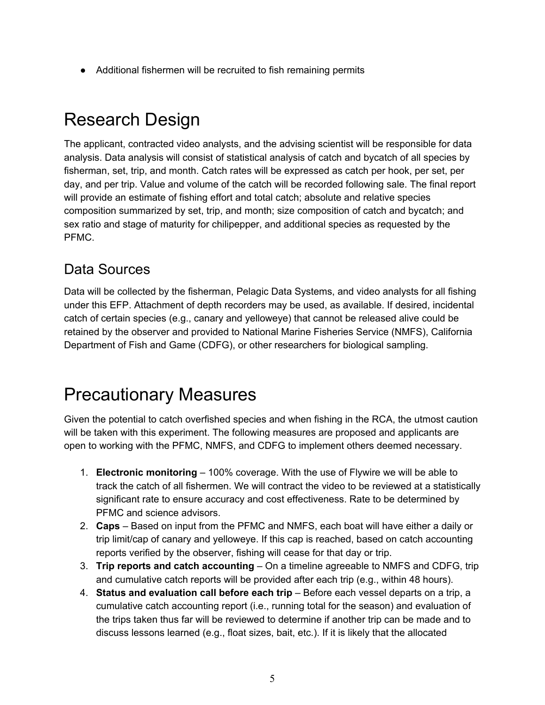● Additional fishermen will be recruited to fish remaining permits

### Research Design

The applicant, contracted video analysts, and the advising scientist will be responsible for data analysis. Data analysis will consist of statistical analysis of catch and bycatch of all species by fisherman, set, trip, and month. Catch rates will be expressed as catch per hook, per set, per day, and per trip. Value and volume of the catch will be recorded following sale. The final report will provide an estimate of fishing effort and total catch; absolute and relative species composition summarized by set, trip, and month; size composition of catch and bycatch; and sex ratio and stage of maturity for chilipepper, and additional species as requested by the PFMC.

#### Data Sources

Data will be collected by the fisherman, Pelagic Data Systems, and video analysts for all fishing under this EFP. Attachment of depth recorders may be used, as available. If desired, incidental catch of certain species (e.g., canary and yelloweye) that cannot be released alive could be retained by the observer and provided to National Marine Fisheries Service (NMFS), California Department of Fish and Game (CDFG), or other researchers for biological sampling.

#### Precautionary Measures

Given the potential to catch overfished species and when fishing in the RCA, the utmost caution will be taken with this experiment. The following measures are proposed and applicants are open to working with the PFMC, NMFS, and CDFG to implement others deemed necessary.

- 1. **Electronic monitoring** 100% coverage. With the use of Flywire we will be able to track the catch of all fishermen. We will contract the video to be reviewed at a statistically significant rate to ensure accuracy and cost effectiveness. Rate to be determined by PFMC and science advisors.
- 2. **Caps** Based on input from the PFMC and NMFS, each boat will have either a daily or trip limit/cap of canary and yelloweye. If this cap is reached, based on catch accounting reports verified by the observer, fishing will cease for that day or trip.
- 3. **Trip reports and catch accounting** On a timeline agreeable to NMFS and CDFG, trip and cumulative catch reports will be provided after each trip (e.g., within 48 hours).
- 4. **Status and evaluation call before each trip** Before each vessel departs on a trip, a cumulative catch accounting report (i.e., running total for the season) and evaluation of the trips taken thus far will be reviewed to determine if another trip can be made and to discuss lessons learned (e.g., float sizes, bait, etc.). If it is likely that the allocated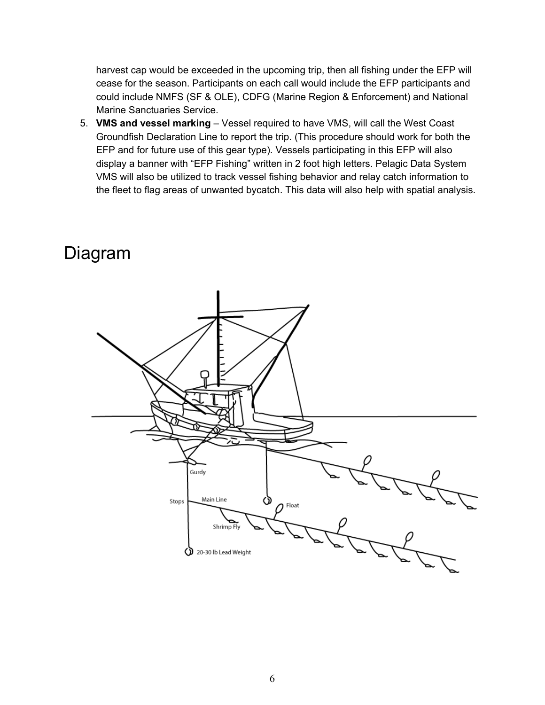harvest cap would be exceeded in the upcoming trip, then all fishing under the EFP will cease for the season. Participants on each call would include the EFP participants and could include NMFS (SF & OLE), CDFG (Marine Region & Enforcement) and National Marine Sanctuaries Service.

5. **VMS and vessel marking** – Vessel required to have VMS, will call the West Coast Groundfish Declaration Line to report the trip. (This procedure should work for both the EFP and for future use of this gear type). Vessels participating in this EFP will also display a banner with "EFP Fishing" written in 2 foot high letters. Pelagic Data System VMS will also be utilized to track vessel fishing behavior and relay catch information to the fleet to flag areas of unwanted bycatch. This data will also help with spatial analysis.

#### Diagram